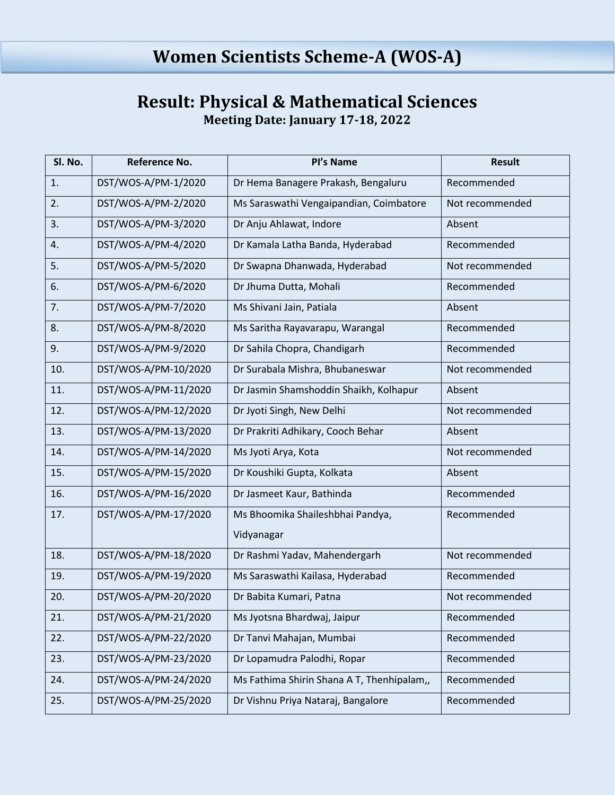## **Result: Physical & Mathematical Sciences Meeting Date: January 17-18, 2022**

| Sl. No. | Reference No.        | Pl's Name                                  | <b>Result</b>   |
|---------|----------------------|--------------------------------------------|-----------------|
| 1.      | DST/WOS-A/PM-1/2020  | Dr Hema Banagere Prakash, Bengaluru        | Recommended     |
| 2.      | DST/WOS-A/PM-2/2020  | Ms Saraswathi Vengaipandian, Coimbatore    | Not recommended |
| 3.      | DST/WOS-A/PM-3/2020  | Dr Anju Ahlawat, Indore                    | Absent          |
| 4.      | DST/WOS-A/PM-4/2020  | Dr Kamala Latha Banda, Hyderabad           | Recommended     |
| 5.      | DST/WOS-A/PM-5/2020  | Dr Swapna Dhanwada, Hyderabad              | Not recommended |
| 6.      | DST/WOS-A/PM-6/2020  | Dr Jhuma Dutta, Mohali                     | Recommended     |
| 7.      | DST/WOS-A/PM-7/2020  | Ms Shivani Jain, Patiala                   | Absent          |
| 8.      | DST/WOS-A/PM-8/2020  | Ms Saritha Rayavarapu, Warangal            | Recommended     |
| 9.      | DST/WOS-A/PM-9/2020  | Dr Sahila Chopra, Chandigarh               | Recommended     |
| 10.     | DST/WOS-A/PM-10/2020 | Dr Surabala Mishra, Bhubaneswar            | Not recommended |
| 11.     | DST/WOS-A/PM-11/2020 | Dr Jasmin Shamshoddin Shaikh, Kolhapur     | Absent          |
| 12.     | DST/WOS-A/PM-12/2020 | Dr Jyoti Singh, New Delhi                  | Not recommended |
| 13.     | DST/WOS-A/PM-13/2020 | Dr Prakriti Adhikary, Cooch Behar          | Absent          |
| 14.     | DST/WOS-A/PM-14/2020 | Ms Jyoti Arya, Kota                        | Not recommended |
| 15.     | DST/WOS-A/PM-15/2020 | Dr Koushiki Gupta, Kolkata                 | Absent          |
| 16.     | DST/WOS-A/PM-16/2020 | Dr Jasmeet Kaur, Bathinda                  | Recommended     |
| 17.     | DST/WOS-A/PM-17/2020 | Ms Bhoomika Shaileshbhai Pandya,           | Recommended     |
|         |                      | Vidyanagar                                 |                 |
| 18.     | DST/WOS-A/PM-18/2020 | Dr Rashmi Yadav, Mahendergarh              | Not recommended |
| 19.     | DST/WOS-A/PM-19/2020 | Ms Saraswathi Kailasa, Hyderabad           | Recommended     |
| 20.     | DST/WOS-A/PM-20/2020 | Dr Babita Kumari, Patna                    | Not recommended |
| 21.     | DST/WOS-A/PM-21/2020 | Ms Jyotsna Bhardwaj, Jaipur                | Recommended     |
| 22.     | DST/WOS-A/PM-22/2020 | Dr Tanvi Mahajan, Mumbai                   | Recommended     |
| 23.     | DST/WOS-A/PM-23/2020 | Dr Lopamudra Palodhi, Ropar                | Recommended     |
| 24.     | DST/WOS-A/PM-24/2020 | Ms Fathima Shirin Shana A T, Thenhipalam,, | Recommended     |
| 25.     | DST/WOS-A/PM-25/2020 | Dr Vishnu Priya Nataraj, Bangalore         | Recommended     |